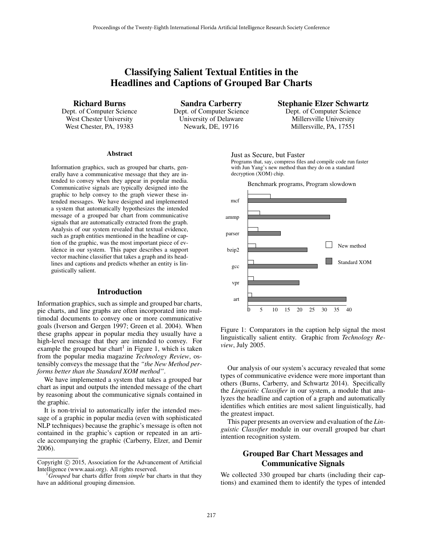# Classifying Salient Textual Entities in the Headlines and Captions of Grouped Bar Charts

Richard Burns

Dept. of Computer Science West Chester University West Chester, PA, 19383

Sandra Carberry Dept. of Computer Science University of Delaware Newark, DE, 19716

Stephanie Elzer Schwartz

Dept. of Computer Science Millersville University Millersville, PA, 17551

#### Abstract

Information graphics, such as grouped bar charts, generally have a communicative message that they are intended to convey when they appear in popular media. Communicative signals are typically designed into the graphic to help convey to the graph viewer these intended messages. We have designed and implemented a system that automatically hypothesizes the intended message of a grouped bar chart from communicative signals that are automatically extracted from the graph. Analysis of our system revealed that textual evidence, such as graph entities mentioned in the headline or caption of the graphic, was the most important piece of evidence in our system. This paper describes a support vector machine classifier that takes a graph and its headlines and captions and predicts whether an entity is linguistically salient.

#### Introduction

Information graphics, such as simple and grouped bar charts, pie charts, and line graphs are often incorporated into multimodal documents to convey one or more communicative goals (Iverson and Gergen 1997; Green et al. 2004). When these graphs appear in popular media they usually have a high-level message that they are intended to convey. For example the grouped bar chart<sup>1</sup> in Figure 1, which is taken from the popular media magazine *Technology Review*, ostensibly conveys the message that the *"the New Method performs better than the Standard XOM method"*.

We have implemented a system that takes a grouped bar chart as input and outputs the intended message of the chart by reasoning about the communicative signals contained in the graphic.

It is non-trivial to automatically infer the intended message of a graphic in popular media (even with sophisticated NLP techniques) because the graphic's message is often not contained in the graphic's caption or repeated in an article accompanying the graphic (Carberry, Elzer, and Demir 2006).

Just as Secure, but Faster

Programs that, say, compress files and compile code run faster decryption (XOM) chip. with Jun Yang's new method than they do on a standard



Figure 1: Comparators in the caption help signal the most linguistically salient entity. Graphic from *Technology Review*, July 2005.

Our analysis of our system's accuracy revealed that some types of communicative evidence were more important than others (Burns, Carberry, and Schwartz 2014). Specifically the *Linguistic Classifier* in our system, a module that analyzes the headline and caption of a graph and automatically identifies which entities are most salient linguistically, had the greatest impact.

This paper presents an overview and evaluation of the *Linguistic Classifier* module in our overall grouped bar chart intention recognition system.

## Grouped Bar Chart Messages and Communicative Signals

We collected 330 grouped bar charts (including their captions) and examined them to identify the types of intended

Copyright © 2015, Association for the Advancement of Artificial Intelligence (www.aaai.org). All rights reserved.

<sup>1</sup>*Grouped* bar charts differ from *simple* bar charts in that they have an additional grouping dimension.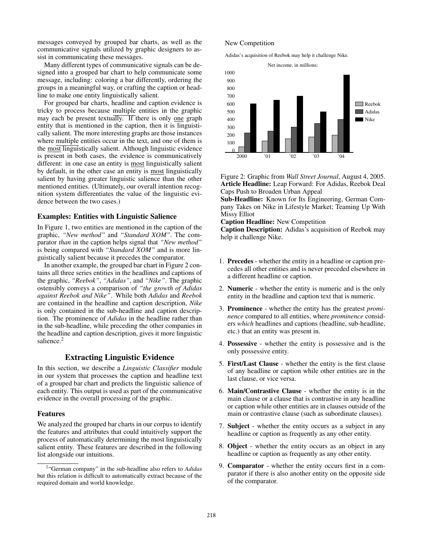messages conveyed by grouped bar charts, as well as the communicative signals utilized by graphic designers to assist in communicating these messages.

Many different types of communicative signals can be designed into a grouped bar chart to help communicate some message, including: coloring a bar differently, ordering the groups in a meaningful way, or crafting the caption or headline to make one entity linguistically salient.

For grouped bar charts, headline and caption evidence is tricky to process because multiple entities in the graphic may each be present textually. If there is only one graph entity that is mentioned in the caption, then it is linguistically salient. The more interesting graphs are those instances where multiple entities occur in the text, and one of them is the most linguistically salient. Although linguistic evidence is present in both cases, the evidence is communicatively different: in one case an entity is most linguistically salient by default, in the other case an entity is most linguistically salient by having greater linguistic salience than the other mentioned entities. (Ultimately, our overall intention recognition system differentiates the value of the linguistic evidence between the two cases.)

### Examples: Entities with Linguistic Salience

In Figure 1, two entities are mentioned in the caption of the graphic, *"New method"* and *"Standard XOM"*. The comparator *than* in the caption helps signal that *"New method"* is being compared with *"Standard XOM"* and is more linguistically salient because it precedes the comparator.

In another example, the grouped bar chart in Figure 2 contains all three series entities in the headlines and captions of the graphic, *"Reebok"*, *"Adidas"*, and *"Nike"*. The graphic ostensibly conveys a comparison of *"the growth of Adidas against Reebok and Nike"*. While both *Adidas* and *Reebok* are contained in the headline and caption description, *Nike* is only contained in the sub-headline and caption description. The prominence of *Adidas* in the headline rather than in the sub-headline, while preceding the other companies in the headline and caption description, gives it more linguistic salience.<sup>2</sup>

## Extracting Linguistic Evidence

In this section, we describe a *Linguistic Classifier* module in our system that processes the caption and headline text of a grouped bar chart and predicts the linguistic salience of each entity. This output is used as part of the communicative evidence in the overall processing of the graphic.

#### Features

We analyzed the grouped bar charts in our corpus to identify the features and attributes that could intuitively support the process of automatically determining the most linguistically salient entity. These features are described in the following list alongside our intuitions.

#### New Competition

Adidas's acquisition of Reebok may help it challenge Nike.



Figure 2: Graphic from *Wall Street Journal*, August 4, 2005. Article Headline: Leap Forward: For Adidas, Reebok Deal Caps Push to Broaden Urban Appeal

Sub-Headline: Known for Its Engineering, German Company Takes on Nike in Lifestyle Market; Teaming Up With Missy Elliot

Caption Headline: New Competition

Caption Description: Adidas's acquisition of Reebok may help it challenge Nike.

- 1. Precedes whether the entity in a headline or caption precedes all other entities and is never preceded elsewhere in a different headline or caption.
- 2. Numeric whether the entity is numeric and is the only entity in the headline and caption text that is numeric.
- 3. Prominence whether the entity has the greatest *prominence* compared to all entities, where *prominence* considers *which* headlines and captions (headline, sub-headline, etc.) that an entity was present in.
- 4. Possessive whether the entity is possessive and is the only possessive entity.
- 5. First/Last Clause whether the entity is the first clause of any headline or caption while other entities are in the last clause, or vice versa.
- 6. Main/Contrastive Clause whether the entity is in the main clause or a clause that is contrastive in any headline or caption while other entities are in clauses outside of the main or contrastive clause (such as subordinate clauses).
- 7. Subject whether the entity occurs as a subject in any headline or caption as frequently as any other entity.
- 8. Object whether the entity occurs as an object in any headline or caption as frequently as any other entity.
- 9. Comparator whether the entity occurs first in a comparator if there is also another entity on the opposite side of the comparator.

<sup>2</sup> "German company" in the sub-headline also refers to *Adidas* but this relation is difficult to automatically extract because of the required domain and world knowledge.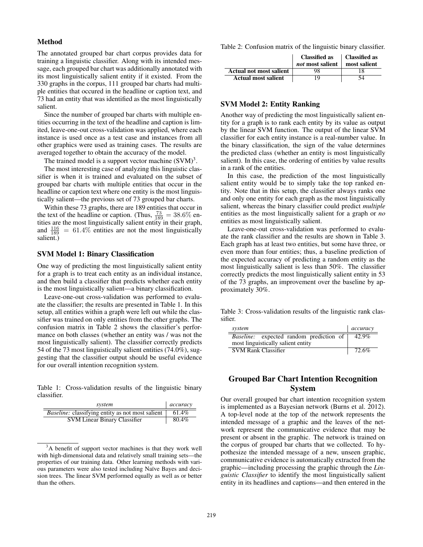### Method

The annotated grouped bar chart corpus provides data for training a linguistic classifier. Along with its intended message, each grouped bar chart was additionally annotated with its most linguistically salient entity if it existed. From the 330 graphs in the corpus, 111 grouped bar charts had multiple entities that occured in the headline or caption text, and 73 had an entity that was identified as the most linguistically salient.

Since the number of grouped bar charts with multiple entities occurring in the text of the headline and caption is limited, leave-one-out cross-validation was applied, where each instance is used once as a test case and instances from all other graphics were used as training cases. The results are averaged together to obtain the accuracy of the model.

The trained model is a support vector machine  $(SVM)^3$ .

The most interesting case of analyzing this linguistic classifier is when it is trained and evaluated on the subset of grouped bar charts with multiple entities that occur in the headline or caption text where one entity is the most linguistically salient—the previous set of 73 grouped bar charts.

Within these 73 graphs, there are 189 entities that occur in the text of the headline or caption. (Thus,  $\frac{73}{189} = 38.6\%$  entities are the most linguistically salient entity in their graph, and  $\frac{116}{189}$  = 61.4% entities are not the most linguistically salient.)

### SVM Model 1: Binary Classification

One way of predicting the most linguistically salient entity for a graph is to treat each entity as an individual instance, and then build a classifier that predicts whether each entity is the most linguistically salient—a binary classification.

Leave-one-out cross-validation was performed to evaluate the classifier; the results are presented in Table 1. In this setup, all entities within a graph were left out while the classifier was trained on only entities from the other graphs. The confusion matrix in Table 2 shows the classifier's performance on both classes (whether an entity was / was not the most linguistically salient). The classifier correctly predicts 54 of the 73 most linguistically salient entities (74.0%), suggesting that the classifier output should be useful evidence for our overall intention recognition system.

Table 1: Cross-validation results of the linguistic binary classifier.

| system                                                  | accuracy |
|---------------------------------------------------------|----------|
| <i>Baseline:</i> classifying entity as not most salient | 61.4%    |
| <b>SVM Linear Binary Classifier</b>                     | 80.4%    |

<sup>&</sup>lt;sup>3</sup>A benefit of support vector machines is that they work well with high-dimensional data and relatively small training sets—the properties of our training data. Other learning methods with various parameters were also tested including Na¨ıve Bayes and decision trees. The linear SVM performed equally as well as or better than the others.

Table 2: Confusion matrix of the linguistic binary classifier.

|                            | <b>Classified as</b><br>not most salient | Classified as<br>most salient |
|----------------------------|------------------------------------------|-------------------------------|
| Actual not most salient    | 98                                       |                               |
| <b>Actual most salient</b> | 19                                       |                               |

#### SVM Model 2: Entity Ranking

Another way of predicting the most linguistically salient entity for a graph is to rank each entity by its value as output by the linear SVM function. The output of the linear SVM classifier for each entity instance is a real-number value. In the binary classification, the sign of the value determines the predicted class (whether an entity is most linguistically salient). In this case, the ordering of entities by value results in a rank of the entities.

In this case, the prediction of the most linguistically salient entity would be to simply take the top ranked entity. Note that in this setup, the classifier always ranks one and only one entity for each graph as the most linguistically salient, whereas the binary classifier could predict *multiple* entities as the most linguistically salient for a graph or *no* entities as most linguistically salient.

Leave-one-out cross-validation was performed to evaluate the rank classifier and the results are shown in Table 3. Each graph has at least two entities, but some have three, or even more than four entities; thus, a baseline prediction of the expected accuracy of predicting a random entity as the most linguistically salient is less than 50%. The classifier correctly predicts the most linguistically salient entity in 53 of the 73 graphs, an improvement over the baseline by approximately 30%.

Table 3: Cross-validation results of the linguistic rank classifier.

| system                                         | accuracy |
|------------------------------------------------|----------|
| <i>Baseline:</i> expected random prediction of | 42.9%    |
| most linguistically salient entity             |          |
| <b>SVM Rank Classifier</b>                     | 72.6%    |

## Grouped Bar Chart Intention Recognition System

Our overall grouped bar chart intention recognition system is implemented as a Bayesian network (Burns et al. 2012). A top-level node at the top of the network represents the intended message of a graphic and the leaves of the network represent the communicative evidence that may be present or absent in the graphic. The network is trained on the corpus of grouped bar charts that we collected. To hypothesize the intended message of a new, unseen graphic, communicative evidence is automatically extracted from the graphic—including processing the graphic through the *Linguistic Classifier* to identify the most linguistically salient entity in its headlines and captions—and then entered in the